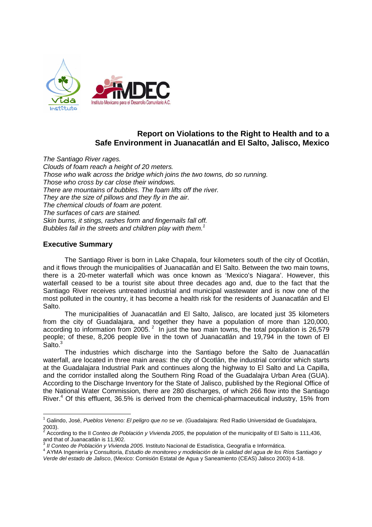

# **Report on Violations to the Right to Health and to a Safe Environment in Juanacatlán and El Salto, Jalisco, Mexico**

The Santiago River rages. Clouds of foam reach a height of 20 meters. Those who walk across the bridge which joins the two towns, do so running. Those who cross by car close their windows. There are mountains of bubbles. The foam lifts off the river. They are the size of pillows and they fly in the air. The chemical clouds of foam are potent. The surfaces of cars are stained. Skin burns, it stings, rashes form and fingernails fall off. Bubbles fall in the streets and children play with them.<sup>1</sup>

### **Executive Summary**

 $\overline{a}$ 

The Santiago River is born in Lake Chapala, four kilometers south of the city of Ocotlán, and it flows through the municipalities of Juanacatlán and El Salto. Between the two main towns, there is a 20-meter waterfall which was once known as 'Mexico's Niagara'. However, this waterfall ceased to be a tourist site about three decades ago and, due to the fact that the Santiago River receives untreated industrial and municipal wastewater and is now one of the most polluted in the country, it has become a health risk for the residents of Juanacatlán and El Salto.

The municipalities of Juanacatlán and El Salto, Jalisco, are located just 35 kilometers from the city of Guadalajara, and together they have a population of more than 120,000, according to information from 2005.<sup>2</sup> In just the two main towns, the total population is 26,579 people; of these, 8,206 people live in the town of Juanacatlán and 19,794 in the town of El Salto.<sup>3</sup>

The industries which discharge into the Santiago before the Salto de Juanacatlán waterfall, are located in three main areas: the city of Ocotlán, the industrial corridor which starts at the Guadalajara Industrial Park and continues along the highway to El Salto and La Capilla, and the corridor installed along the Southern Ring Road of the Guadalajra Urban Area (GUA). According to the Discharge Inventory for the State of Jalisco, published by the Regional Office of the National Water Commission, there are 280 discharges, of which 266 flow into the Santiago River.<sup>4</sup> Of this effluent, 36.5% is derived from the chemical-pharmaceutical industry, 15% from

<sup>&</sup>lt;sup>1</sup> Galindo, José, Pueblos Veneno: El peligro que no se ve. (Guadalajara: Red Radio Universidad de Guadalajara, 2003).<br><sup>2</sup> Assa

According to the II Conteo de Población y Vivienda 2005, the population of the municipality of El Salto is 111,436, and that of Juanacatlán is 11,902.<br><sup>3</sup> Il Centes de Pehlesián y Viviende

II Conteo de Población y Vivienda 2005. Instituto Nacional de Estadística, Geografía e Informática.

<sup>&</sup>lt;sup>4</sup> AYMA Ingeniería y Consultoría, Estudio de monitoreo y modelación de la calidad del agua de los Ríos Santiago y

Verde del estado de Jalisco, (Mexico: Comisión Estatal de Agua y Saneamiento (CEAS) Jalisco 2003) 4-18.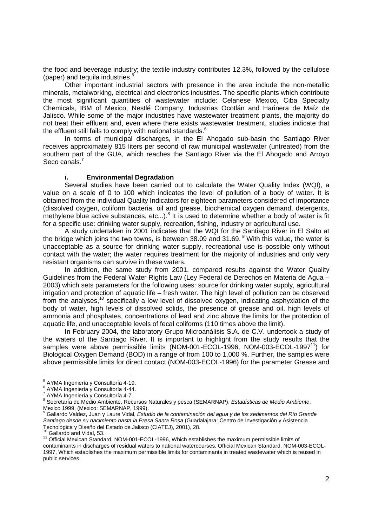the food and beverage industry; the textile industry contributes 12.3%, followed by the cellulose (paper) and tequila industries.<sup>5</sup>

Other important industrial sectors with presence in the area include the non-metallic minerals, metalworking, electrical and electronics industries. The specific plants which contribute the most significant quantities of wastewater include: Celanese Mexico, Ciba Specialty Chemicals, IBM of Mexico, Nestlé Company, Industrias Ocotlán and Harinera de Maíz de Jalisco. While some of the major industries have wastewater treatment plants, the majority do not treat their effluent and, even where there exists wastewater treatment, studies indicate that the effluent still fails to comply with national standards.<sup>6</sup>

In terms of municipal discharges, in the El Ahogado sub-basin the Santiago River receives approximately 815 liters per second of raw municipal wastewater (untreated) from the southern part of the GUA, which reaches the Santiago River via the El Ahogado and Arroyo Seco canals.<sup>7</sup>

#### **i. Environmental Degradation**

Several studies have been carried out to calculate the Water Quality Index (WQI), a value on a scale of 0 to 100 which indicates the level of pollution of a body of water. It is obtained from the individual Quality Indicators for eighteen parameters considered of importance (dissolved oxygen, coliform bacteria, oil and grease, biochemical oxygen demand, detergents, methylene blue active substances, etc...).<sup>8</sup> It is used to determine whether a body of water is fit for a specific use: drinking water supply, recreation, fishing, industry or agricultural use.

A study undertaken in 2001 indicates that the WQI for the Santiago River in El Salto at the bridge which joins the two towns, is between 38.09 and 31.69.  $9$  With this value, the water is unacceptable as a source for drinking water supply, recreational use is possible only without contact with the water; the water requires treatment for the majority of industries and only very resistant organisms can survive in these waters.

In addition, the same study from 2001, compared results against the Water Quality Guidelines from the Federal Water Rights Law (Ley Federal de Derechos en Materia de Agua – 2003) which sets parameters for the following uses: source for drinking water supply, agricultural irrigation and protection of aquatic life – fresh water. The high level of pollution can be observed from the analyses,<sup>10</sup> specifically a low level of dissolved oxygen, indicating asphyxiation of the body of water, high levels of dissolved solids, the presence of grease and oil, high levels of ammonia and phosphates, concentrations of lead and zinc above the limits for the protection of aquatic life, and unacceptable levels of fecal coliforms (110 times above the limit).

 In February 2004, the laboratory Grupo Microanálisis S.A. de C.V. undertook a study of the waters of the Santiago River. It is important to highlight from the study results that the samples were above permissible limits (NOM-001-ECOL-1996, NOM-003-ECOL-1997<sup>11</sup>) for Biological Oxygen Demand (BOD) in a range of from 100 to 1,000 %. Further, the samples were above permissible limits for direct contact (NOM-003-ECOL-1996) for the parameter Grease and

 5 AYMA Ingeniería y Consultoría 4-19.

<sup>&</sup>lt;sup>6</sup> AYMA Ingeniería y Consultoría 4-44.

AYMA Ingeniería y Consultoría 4-7.

<sup>&</sup>lt;sup>8</sup> Secretaría de Medio Ambiente, Recursos Naturales y pesca (SEMARNAP), *Estadísticas de Medio Ambiente*, Mexico 1999, (Mexico: SEMARNAP, 1999).

<sup>9</sup> Gallardo Valdez, Juan y Laure Vidal, Estudio de la contaminación del agua y de los sedimentos del Río Grande Santiago desde su nacimiento hasta la Presa Santa Rosa (Guadalajara: Centro de Investigación y Asistencia Tecnológica y Diseño del Estado de Jalisco (CIATEJ), 2001), 28.

Gallardo and Vidal, 53.

<sup>&</sup>lt;sup>11</sup> Official Mexican Standard, NOM-001-ECOL-1996, Which establishes the maximum permissible limits of contaminants in discharges of residual waters to national watercourses. Official Mexican Standard, NOM-003-ECOL-1997, Which establishes the maximum permissible limits for contaminants in treated wastewater which is reused in public services.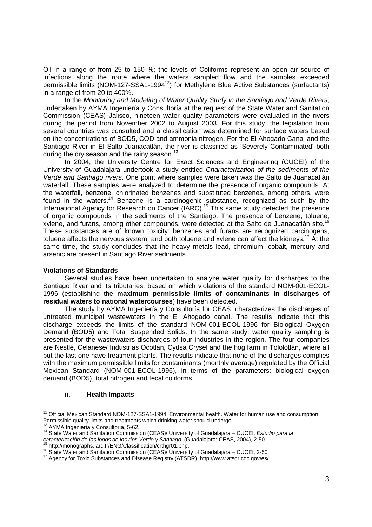Oil in a range of from 25 to 150 %; the levels of Coliforms represent an open air source of infections along the route where the waters sampled flow and the samples exceeded permissible limits (NOM-127-SSA1-1994<sup>12</sup>) for Methylene Blue Active Substances (surfactants) in a range of from 20 to 400%.

In the Monitoring and Modeling of Water Quality Study in the Santiago and Verde Rivers, undertaken by AYMA Ingeniería y Consultoría at the request of the State Water and Sanitation Commission (CEAS) Jalisco, nineteen water quality parameters were evaluated in the rivers during the period from November 2002 to August 2003. For this study, the legislation from several countries was consulted and a classification was determined for surface waters based on the concentrations of BOD5, COD and ammonia nitrogen. For the El Ahogado Canal and the Santiago River in El Salto-Juanacatlán, the river is classified as 'Severely Contaminated' both during the dry season and the rainy season.<sup>13</sup>

In 2004, the University Centre for Exact Sciences and Engineering (CUCEI) of the University of Guadalajara undertook a study entitled Characterization of the sediments of the Verde and Santiago rivers. One point where samples were taken was the Salto de Juanacatlán waterfall. These samples were analyzed to determine the presence of organic compounds. At the waterfall, benzene, chlorinated benzenes and substituted benzenes, among others, were found in the waters.<sup>14</sup> Benzene is a carcinogenic substance, recognized as such by the International Agency for Research on Cancer (IARC).<sup>15</sup> This same study detected the presence of organic compounds in the sediments of the Santiago. The presence of benzene, toluene, xylene, and furans, among other compounds, were detected at the Salto de Juanacatlán site.<sup>16</sup> These substances are of known toxicity: benzenes and furans are recognized carcinogens, toluene affects the nervous system, and both toluene and xylene can affect the kidneys.<sup>17</sup> At the same time, the study concludes that the heavy metals lead, chromium, cobalt, mercury and arsenic are present in Santiago River sediments.

#### **Violations of Standards**

 Several studies have been undertaken to analyze water quality for discharges to the Santiago River and its tributaries, based on which violations of the standard NOM-001-ECOL-1996 (establishing the **maximum permissible limits of contaminants in discharges of residual waters to national watercourses**) have been detected.

 The study by AYMA Ingeniería y Consultoría for CEAS, characterizes the discharges of untreated municipal wastewaters in the El Ahogado canal. The results indicate that this discharge exceeds the limits of the standard NOM-001-ECOL-1996 for Biological Oxygen Demand (BOD5) and Total Suspended Solids. In the same study, water quality sampling is presented for the wastewaters discharges of four industries in the region. The four companies are Nestlé, Celanese/ Industrias Ocotlán, Cydsa Crysel and the hog farm in Tololotlán, where all but the last one have treatment plants. The results indicate that none of the discharges complies with the maximum permissible limits for contaminants (monthly average) regulated by the Official Mexican Standard (NOM-001-ECOL-1996), in terms of the parameters: biological oxygen demand (BOD5), total nitrogen and fecal coliforms.

#### **ii. Health Impacts**

<sup>13</sup> AYMA Ingeniería y Consultoría, 5-62.

 $\overline{a}$ 

 $12$  Official Mexican Standard NOM-127-SSA1-1994, Environmental health. Water for human use and consumption. Permissible quality limits and treatments which drinking water should undergo.

<sup>14</sup> State Water and Sanitation Commission (CEAS)/ University of Guadalajara – CUCEI, Estudio para la caracterización de los lodos de los ríos Verde y Santiago, (Guadalajara: CEAS, 2004), 2-50. http://monographs.iarc.fr/ENG/Classification/crthgr01.php.

<sup>&</sup>lt;sup>16</sup> State Water and Sanitation Commission (CEAS)/ University of Guadalajara – CUCEI, 2-50.

<sup>17</sup> Agency for Toxic Substances and Disease Registry (ATSDR), http://www.atsdr.cdc.gov/es/.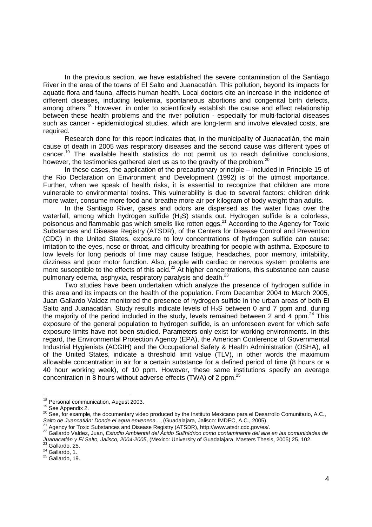In the previous section, we have established the severe contamination of the Santiago River in the area of the towns of El Salto and Juanacatlán. This pollution, beyond its impacts for aquatic flora and fauna, affects human health. Local doctors cite an increase in the incidence of different diseases, including leukemia, spontaneous abortions and congenital birth defects, among others.<sup>18</sup> However, in order to scientifically establish the cause and effect relationship between these health problems and the river pollution - especially for multi-factorial diseases such as cancer - epidemiological studies, which are long-term and involve elevated costs, are required.

Research done for this report indicates that, in the municipality of Juanacatlán, the main cause of death in 2005 was respiratory diseases and the second cause was different types of cancer.<sup>19</sup> The available health statistics do not permit us to reach definitive conclusions, however, the testimonies gathered alert us as to the gravity of the problem.<sup>20</sup>

In these cases, the application of the precautionary principle – included in Principle 15 of the Rio Declaration on Environment and Development (1992) is of the utmost importance. Further, when we speak of health risks, it is essential to recognize that children are more vulnerable to environmental toxins. This vulnerability is due to several factors: children drink more water, consume more food and breathe more air per kilogram of body weight than adults.

 In the Santiago River, gases and odors are dispersed as the water flows over the waterfall, among which hydrogen sulfide (H<sub>2</sub>S) stands out. Hydrogen sulfide is a colorless, poisonous and flammable gas which smells like rotten eggs.<sup>21</sup> According to the Agency for Toxic Substances and Disease Registry (ATSDR), of the Centers for Disease Control and Prevention (CDC) in the United States, exposure to low concentrations of hydrogen sulfide can cause: irritation to the eyes, nose or throat, and difficulty breathing for people with asthma. Exposure to low levels for long periods of time may cause fatigue, headaches, poor memory, irritability, dizziness and poor motor function. Also, people with cardiac or nervous system problems are more susceptible to the effects of this acid.<sup>22</sup> At higher concentrations, this substance can cause pulmonary edema, asphyxia, respiratory paralysis and death.<sup>23</sup>

Two studies have been undertaken which analyze the presence of hydrogen sulfide in this area and its impacts on the health of the population. From December 2004 to March 2005, Juan Gallardo Valdez monitored the presence of hydrogen sulfide in the urban areas of both El Salto and Juanacatlán. Study results indicate levels of H<sub>2</sub>S between 0 and 7 ppm and, during the majority of the period included in the study, levels remained between 2 and 4 ppm.<sup>24</sup> This exposure of the general population to hydrogen sulfide, is an unforeseen event for which safe exposure limits have not been studied. Parameters only exist for working environments. In this regard, the Environmental Protection Agency (EPA), the American Conference of Governmental Industrial Hygienists (ACGIH) and the Occupational Safety & Health Administration (OSHA), all of the United States, indicate a threshold limit value (TLV), in other words the maximum allowable concentration in air for a certain substance for a defined period of time (8 hours or a 40 hour working week), of 10 ppm. However, these same institutions specify an average concentration in 8 hours without adverse effects (TWA) of 2 ppm. $^{25}$ 

 $^{24}$  Gallardo, 1.

4

 <sup>18</sup> Personal communication, August 2003.

<sup>&</sup>lt;sup>19</sup> See Appendix 2.

<sup>20</sup> See, for example, the documentary video produced by the Instituto Mexicano para el Desarrollo Comunitario, A.C., Salto de Juancatlán: Donde el agua envenena..., (Guadalajara, Jalisco: IMDEC, A.C., 2005).<br><sup>21</sup>. <sup>21</sup>.

<sup>21</sup> Agency for Toxic Substances and Disease Registry (ATSDR), http://www.atsdr.cdc.gov/es/.

<sup>22</sup> Gallardo Valdez, Juan, Estudio Ambiental del Ácido Sulfhídrico como contaminante del aire en las comunidades de Juanacatlán y El Salto, Jalisco, 2004-2005, (Mexico: University of Guadalajara, Masters Thesis, 2005) 25, 102.<br><sup>23</sup> Cellerde OF Gallardo, 25.

 $25$  Gallardo, 19.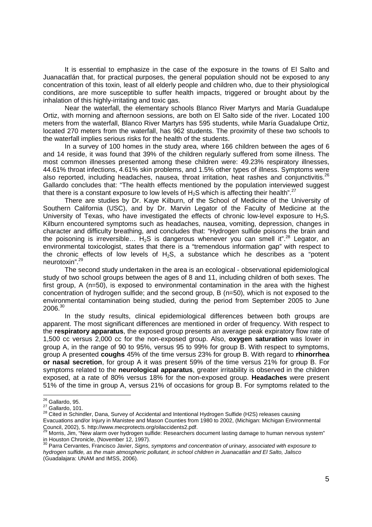It is essential to emphasize in the case of the exposure in the towns of El Salto and Juanacatlán that, for practical purposes, the general population should not be exposed to any concentration of this toxin, least of all elderly people and children who, due to their physiological conditions, are more susceptible to suffer health impacts, triggered or brought about by the inhalation of this highly-irritating and toxic gas.

Near the waterfall, the elementary schools Blanco River Martyrs and María Guadalupe Ortiz, with morning and afternoon sessions, are both on El Salto side of the river. Located 100 meters from the waterfall, Blanco River Martyrs has 595 students, while María Guadalupe Ortiz, located 270 meters from the waterfall, has 962 students. The proximity of these two schools to the waterfall implies serious risks for the health of the students.

 In a survey of 100 homes in the study area, where 166 children between the ages of 6 and 14 reside, it was found that 39% of the children regularly suffered from some illness. The most common illnesses presented among these children were: 49.23% respiratory illnesses, 44.61% throat infections, 4.61% skin problems, and 1.5% other types of illness. Symptoms were also reported, including headaches, nausea, throat irritation, heat rashes and conjunctivitis. $^{26}$ Gallardo concludes that: "The health effects mentioned by the population interviewed suggest that there is a constant exposure to low levels of H<sub>2</sub>S which is affecting their health".<sup>27</sup>

 There are studies by Dr. Kaye Kilburn, of the School of Medicine of the University of Southern California (USC), and by Dr. Marvin Legator of the Faculty of Medicine at the University of Texas, who have investigated the effects of chronic low-level exposure to  $H_2S$ . Kilburn encountered symptoms such as headaches, nausea, vomiting, depression, changes in character and difficulty breathing, and concludes that: "Hydrogen sulfide poisons the brain and the poisoning is irreversible...  $H_2S$  is dangerous whenever you can smell it".<sup>28</sup> Legator, an environmental toxicologist, states that there is a "tremendous information gap" with respect to the chronic effects of low levels of  $H_2S$ , a substance which he describes as a "potent" neurotoxin".<sup>29</sup>

The second study undertaken in the area is an ecological - observational epidemiological study of two school groups between the ages of 8 and 11, including children of both sexes. The first group, A (n=50), is exposed to environmental contamination in the area with the highest concentration of hydrogen sulfide; and the second group, B (n=50), which is not exposed to the environmental contamination being studied, during the period from September 2005 to June  $2006^{30}$ 

In the study results, clinical epidemiological differences between both groups are apparent. The most significant differences are mentioned in order of frequency. With respect to the **respiratory apparatus**, the exposed group presents an average peak expiratory flow rate of 1,500 cc versus 2,000 cc for the non-exposed group. Also, **oxygen saturation** was lower in group A, in the range of 90 to 95%, versus 95 to 99% for group B. With respect to symptoms, group A presented **coughs** 45% of the time versus 23% for group B. With regard to **rhinorrhea or nasal secretion**, for group A it was present 59% of the time versus 21% for group B. For symptoms related to the **neurological apparatus**, greater irritability is observed in the children exposed, at a rate of 80% versus 18% for the non-exposed group. **Headaches** were present 51% of the time in group A, versus 21% of occasions for group B. For symptoms related to the

<sup>&</sup>lt;sup>26</sup> Gallardo, 95.

<sup>&</sup>lt;sup>27</sup> Gallardo, 101.

<sup>28</sup> Cited in Schindler, Dana, Survey of Accidental and Intentional Hydrogen Sulfide (H2S) releases causing Evacuations and/or Injury in Manistee and Mason Counties from 1980 to 2002, (Michigan: Michigan Environmental Council, 2002), 5. http://www.mecprotects.org/oilaccidents2.pdf.<br><sup>29</sup> Morris, Jim, "New alarm over hydrogen sulfide: Researchers document lasting damage to human nervous system"

in Houston Chronicle, (November 12, 1997).<br><sup>30</sup> Parra Cervantes, Francisco Javier, *Signs, symptoms and concentration of urinary, associated with exposure to* 

hydrogen sulfide, as the main atmospheric pollutant, in school children in Juanacatlán and El Salto, Jalisco (Guadalajara: UNAM and IMSS, 2006).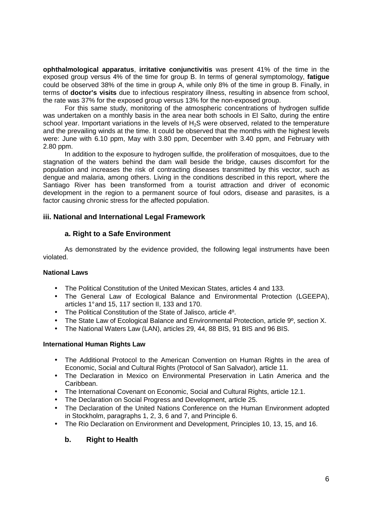**ophthalmological apparatus**, **irritative conjunctivitis** was present 41% of the time in the exposed group versus 4% of the time for group B. In terms of general symptomology, **fatigue** could be observed 38% of the time in group A, while only 8% of the time in group B. Finally, in terms of **doctor's visits** due to infectious respiratory illness, resulting in absence from school, the rate was 37% for the exposed group versus 13% for the non-exposed group.

For this same study, monitoring of the atmospheric concentrations of hydrogen sulfide was undertaken on a monthly basis in the area near both schools in El Salto, during the entire school year. Important variations in the levels of  $H_2S$  were observed, related to the temperature and the prevailing winds at the time. It could be observed that the months with the highest levels were: June with 6.10 ppm, May with 3.80 ppm, December with 3.40 ppm, and February with 2.80 ppm.

In addition to the exposure to hydrogen sulfide, the proliferation of mosquitoes, due to the stagnation of the waters behind the dam wall beside the bridge, causes discomfort for the population and increases the risk of contracting diseases transmitted by this vector, such as dengue and malaria, among others. Living in the conditions described in this report, where the Santiago River has been transformed from a tourist attraction and driver of economic development in the region to a permanent source of foul odors, disease and parasites, is a factor causing chronic stress for the affected population.

# **iii. National and International Legal Framework**

# **a. Right to a Safe Environment**

 As demonstrated by the evidence provided, the following legal instruments have been violated.

### **National Laws**

- The Political Constitution of the United Mexican States, articles 4 and 133.
- The General Law of Ecological Balance and Environmental Protection (LGEEPA), articles 1° and 15, 117 section II, 133 and 170.
- The Political Constitution of the State of Jalisco, article 4º.
- The State Law of Ecological Balance and Environmental Protection, article 9<sup>o</sup>, section X.
- The National Waters Law (LAN), articles 29, 44, 88 BIS, 91 BIS and 96 BIS.

### **International Human Rights Law**

- The Additional Protocol to the American Convention on Human Rights in the area of Economic, Social and Cultural Rights (Protocol of San Salvador), article 11.
- The Declaration in Mexico on Environmental Preservation in Latin America and the Caribbean.
- The International Covenant on Economic, Social and Cultural Rights, article 12.1.
- The Declaration on Social Progress and Development, article 25.
- The Declaration of the United Nations Conference on the Human Environment adopted in Stockholm, paragraphs 1, 2, 3, 6 and 7, and Principle 6.
- The Rio Declaration on Environment and Development, Principles 10, 13, 15, and 16.

### **b. Right to Health**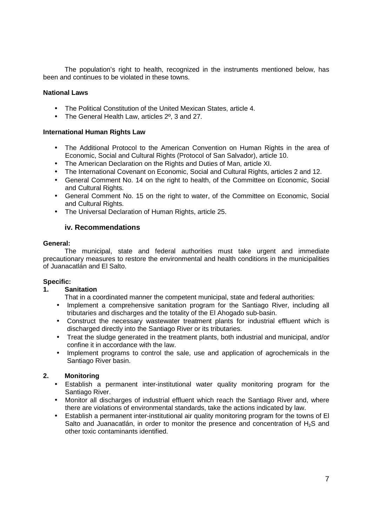The population's right to health, recognized in the instruments mentioned below, has been and continues to be violated in these towns.

#### **National Laws**

- The Political Constitution of the United Mexican States, article 4.
- The General Health Law, articles 2º, 3 and 27.

#### **International Human Rights Law**

- The Additional Protocol to the American Convention on Human Rights in the area of Economic, Social and Cultural Rights (Protocol of San Salvador), article 10.
- The American Declaration on the Rights and Duties of Man, article XI.
- The International Covenant on Economic, Social and Cultural Rights, articles 2 and 12.
- General Comment No. 14 on the right to health, of the Committee on Economic, Social and Cultural Rights.
- General Comment No. 15 on the right to water, of the Committee on Economic, Social and Cultural Rights.
- The Universal Declaration of Human Rights, article 25.

### **iv. Recommendations**

#### **General:**

 The municipal, state and federal authorities must take urgent and immediate precautionary measures to restore the environmental and health conditions in the municipalities of Juanacatlán and El Salto.

### **Specific:**

### **1. Sanitation**

That in a coordinated manner the competent municipal, state and federal authorities:

- Implement a comprehensive sanitation program for the Santiago River, including all tributaries and discharges and the totality of the El Ahogado sub-basin.
- Construct the necessary wastewater treatment plants for industrial effluent which is discharged directly into the Santiago River or its tributaries.
- Treat the sludge generated in the treatment plants, both industrial and municipal, and/or confine it in accordance with the law.
- Implement programs to control the sale, use and application of agrochemicals in the Santiago River basin.

### **2. Monitoring**

- Establish a permanent inter-institutional water quality monitoring program for the Santiago River.
- Monitor all discharges of industrial effluent which reach the Santiago River and, where there are violations of environmental standards, take the actions indicated by law.
- Establish a permanent inter-institutional air quality monitoring program for the towns of El Salto and Juanacatlán, in order to monitor the presence and concentration of  $H_2S$  and other toxic contaminants identified.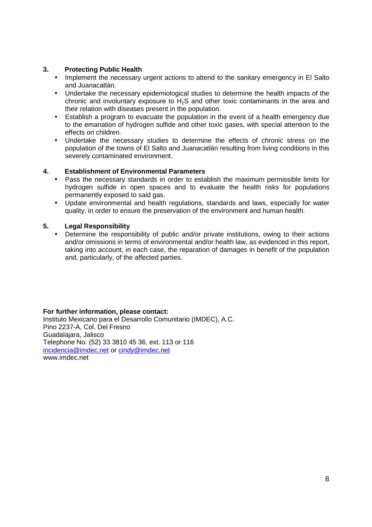# **3. Protecting Public Health**

- Implement the necessary urgent actions to attend to the sanitary emergency in El Salto and Juanacatlán.
- Undertake the necessary epidemiological studies to determine the health impacts of the chronic and involuntary exposure to  $H_2S$  and other toxic contaminants in the area and their relation with diseases present in the population.
- Establish a program to evacuate the population in the event of a health emergency due to the emanation of hydrogen sulfide and other toxic gases, with special attention to the effects on children.
- Undertake the necessary studies to determine the effects of chronic stress on the population of the towns of El Salto and Juanacatlán resulting from living conditions in this severely contaminated environment.

### **4. Establishment of Environmental Parameters**

- Pass the necessary standards in order to establish the maximum permissible limits for hydrogen sulfide in open spaces and to evaluate the health risks for populations permanently exposed to said gas.
- Update environmental and health regulations, standards and laws, especially for water quality, in order to ensure the preservation of the environment and human health.

#### **5. Legal Responsibility**

• Determine the responsibility of public and/or private institutions, owing to their actions and/or omissions in terms of environmental and/or health law, as evidenced in this report, taking into account, in each case, the reparation of damages in benefit of the population and, particularly, of the affected parties.

### **For further information, please contact:**

Instituto Mexicano para el Desarrollo Comunitario (IMDEC), A.C. Pino 2237-A, Col. Del Fresno Guadalajara, Jalisco Telephone No. (52) 33 3810 45 36, ext. 113 or 116 incidencia@imdec.net or cindy@imdec.net www.imdec.net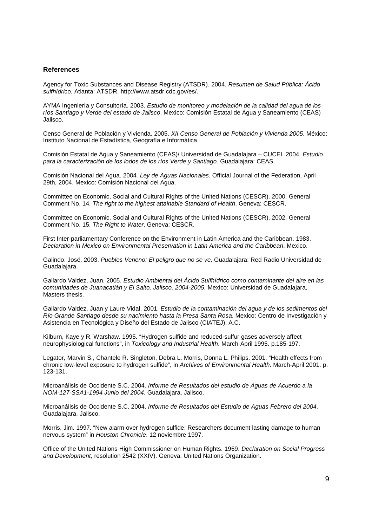#### **References**

Agency for Toxic Substances and Disease Registry (ATSDR). 2004. Resumen de Salud Pública: Ácido sulfhídrico. Atlanta: ATSDR. http://www.atsdr.cdc.gov/es/.

AYMA Ingeniería y Consultoría. 2003. Estudio de monitoreo y modelación de la calidad del agua de los ríos Santiago y Verde del estado de Jalisco. Mexico: Comisión Estatal de Agua y Saneamiento (CEAS) Jalisco.

Censo General de Población y Vivienda. 2005. XII Censo General de Población y Vivienda 2005. México: Instituto Nacional de Estadística, Geografía e Informática.

Comisión Estatal de Agua y Saneamiento (CEAS)/ Universidad de Guadalajara – CUCEI. 2004. Estudio para la caracterización de los lodos de los ríos Verde y Santiago. Guadalajara: CEAS.

Comisión Nacional del Agua. 2004. Ley de Aguas Nacionales. Official Journal of the Federation, April 29th, 2004. Mexico: Comisión Nacional del Agua.

Committee on Economic, Social and Cultural Rights of the United Nations (CESCR). 2000. General Comment No. 14. The right to the highest attainable Standard of Health. Geneva: CESCR.

Committee on Economic, Social and Cultural Rights of the United Nations (CESCR). 2002. General Comment No. 15. The Right to Water. Geneva: CESCR.

First Inter-parliamentary Conference on the Environment in Latin America and the Caribbean. 1983. Declaration in Mexico on Environmental Preservation in Latin America and the Caribbean. Mexico.

Galindo. José. 2003. Pueblos Veneno: El peligro que no se ve. Guadalajara: Red Radio Universidad de Guadalajara.

Gallardo Valdez, Juan. 2005. Estudio Ambiental del Ácido Sulfhídrico como contaminante del aire en las comunidades de Juanacatlán y El Salto, Jalisco, 2004-2005. Mexico: Universidad de Guadalajara, Masters thesis.

Gallardo Valdez, Juan y Laure Vidal. 2001. Estudio de la contaminación del agua y de los sedimentos del Río Grande Santiago desde su nacimiento hasta la Presa Santa Rosa. Mexico: Centro de Investigación y Asistencia en Tecnológica y Diseño del Estado de Jalisco (CIATEJ), A.C.

Kilburn, Kaye y R. Warshaw. 1995. "Hydrogen sulfide and reduced-sulfur gases adversely affect neurophysiological functions", in Toxicology and Industrial Health. March-April 1995. p.185-197.

Legator, Marvin S., Chantele R. Singleton, Debra L. Morris, Donna L. Philips. 2001. "Health effects from chronic low-level exposure to hydrogen sulfide", in Archives of Environmental Health. March-April 2001. p. 123-131.

Microanálisis de Occidente S.C. 2004. Informe de Resultados del estudio de Aguas de Acuerdo a la NOM-127-SSA1-1994 Junio del 2004. Guadalajara, Jalisco.

Microanálisis de Occidente S.C. 2004. Informe de Resultados del Estudio de Aguas Febrero del 2004. Guadalajara, Jalisco.

Morris, Jim. 1997. "New alarm over hydrogen sulfide: Researchers document lasting damage to human nervous system" in Houston Chronicle. 12 noviembre 1997.

Office of the United Nations High Commissioner on Human Rights. 1969. Declaration on Social Progress and Development, resolution 2542 (XXIV). Geneva: United Nations Organization.